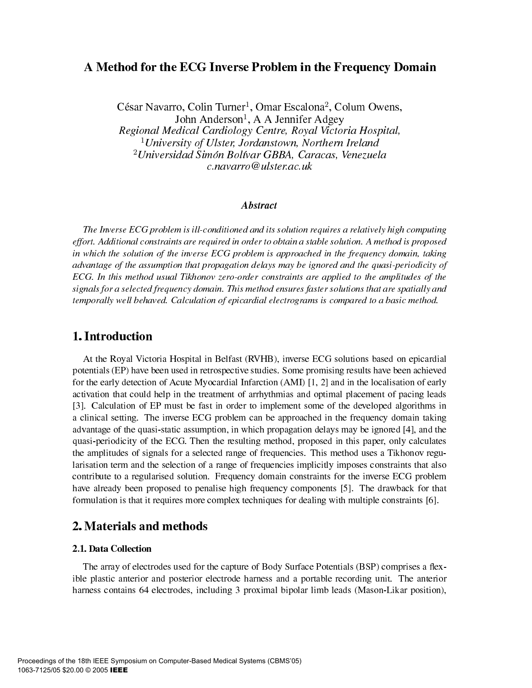# A Method for the ECG Inverse Problem in the Frequency Domain

César Navarro, Colin Turner<sup>1</sup>, Omar Escalona<sup>2</sup>, Colum Owens, John Anderson<sup>1</sup>, A A Jennifer Adgey Regional Medical Cardiology Centre, Royal Victoria Hospital, <sup>1</sup>University of Ulster, Jordanstown, Northern Ireland <sup>2</sup> Universidad Simón Bolívar GBBA, Caracas, Venezuela  $c$ .navarro@ulster.ac.uk

### **Abstract**

The Inverse ECG problem is ill-conditioned and its solution requires a relatively high computing effort. Additional constraints are required in order to obtain a stable solution. A method is proposed in which the solution of the inverse ECG problem is approached in the frequency domain, taking advantage of the assumption that propagation delays may be ignored and the quasi-periodicity of ECG. In this method usual Tikhonov zero-order constraints are applied to the amplitudes of the signals for a selected frequency domain. This method ensures faster solutions that are spatially and temporally well behaved. Calculation of epicardial electrograms is compared to a basic method.

## 1. Introduction

At the Royal Victoria Hospital in Belfast (RVHB), inverse ECG solutions based on epicardial potentials (EP) have been used in retrospective studies. Some promising results have been achieved for the early detection of Acute Myocardial Infarction (AMI) [1, 2] and in the localisation of early activation that could help in the treatment of arrhythmias and optimal placement of pacing leads [3]. Calculation of EP must be fast in order to implement some of the developed algorithms in a clinical setting. The inverse ECG problem can be approached in the frequency domain taking advantage of the quasi-static assumption, in which propagation delays may be ignored [4], and the quasi-periodicity of the ECG. Then the resulting method, proposed in this paper, only calculates the amplitudes of signals for a selected range of frequencies. This method uses a Tikhonov regularisation term and the selection of a range of frequencies implicitly imposes constraints that also contribute to a regularised solution. Frequency domain constraints for the inverse ECG problem have already been proposed to penalise high frequency components [5]. The drawback for that formulation is that it requires more complex techniques for dealing with multiple constraints [6].

### 2. Materials and methods

### 2.1. Data Collection

The array of electrodes used for the capture of Body Surface Potentials (BSP) comprises a flexible plastic anterior and posterior electrode harness and a portable recording unit. The anterior harness contains 64 electrodes, including 3 proximal bipolar limb leads (Mason-Likar position),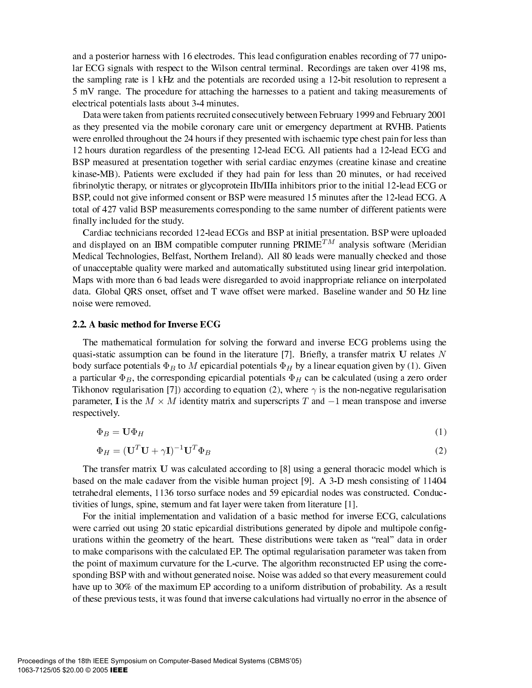and a posterior harness with 16 electrodes. This lead configuration enables recording of 77 unipolar ECG signals with respect to the Wilson central terminal. Recordings are taken over 4198 ms, the sampling rate is 1 kHz and the potentials are recorded using a 12-bit resolution to represent a 5 mV range. The procedure for attaching the harnesses to a patient and taking measurements of electrical potentials lasts about 3-4 minutes.

Data were taken from patients recruited consecutively between February 1999 and February 2001 as they presented via the mobile coronary care unit or emergency department at RVHB. Patients were enrolled throughout the 24 hours if they presented with ischaemic type chest pain for less than 12 hours duration regardless of the presenting 12-lead ECG. All patients had a 12-lead ECG and BSP measured at presentation together with serial cardiac enzymes (creatine kinase and creatine kinase-MB). Patients were excluded if they had pain for less than 20 minutes, or had received fibrinolytic therapy, or nitrates or glycoprotein IIb/IIIa inhibitors prior to the initial 12-lead ECG or BSP, could not give informed consent or BSP were measured 15 minutes after the 12-lead ECG. A total of 427 valid BSP measurements corresponding to the same number of different patients were finally included for the study.

Cardiac technicians recorded 12-lead ECGs and BSP at initial presentation. BSP were uploaded and displayed on an IBM compatible computer running  $PRIME^{TM}$  analysis software (Meridian Medical Technologies, Belfast, Northern Ireland). All 80 leads were manually checked and those of unacceptable quality were marked and automatically substituted using linear grid interpolation. Maps with more than 6 bad leads were disregarded to avoid inappropriate reliance on interpolated data. Global QRS onset, offset and T wave offset were marked. Baseline wander and 50 Hz line noise were removed.

#### 2.2. A basic method for Inverse ECG

The mathematical formulation for solving the forward and inverse ECG problems using the quasi-static assumption can be found in the literature [7]. Briefly, a transfer matrix  $U$  relates N body surface potentials  $\Phi_B$  to M epicardial potentials  $\Phi_H$  by a linear equation given by (1). Given a particular  $\Phi_B$ , the corresponding epicardial potentials  $\Phi_H$  can be calculated (using a zero order Tikhonov regularisation [7]) according to equation (2), where  $\gamma$  is the non-negative regularisation parameter, **I** is the  $M \times M$  identity matrix and superscripts T and  $-1$  mean transpose and inverse respectively.

$$
\Phi_B = \mathbf{U}\Phi_H \tag{1}
$$

$$
\Phi_H = (\mathbf{U}^T \mathbf{U} + \gamma \mathbf{I})^{-1} \mathbf{U}^T \Phi_B \tag{2}
$$

The transfer matrix U was calculated according to [8] using a general thoracic model which is based on the male cadaver from the visible human project [9]. A 3-D mesh consisting of 11404 tetrahedral elements, 1136 torso surface nodes and 59 epicardial nodes was constructed. Conductivities of lungs, spine, sternum and fat layer were taken from literature [1].

For the initial implementation and validation of a basic method for inverse ECG, calculations were carried out using 20 static epicardial distributions generated by dipole and multipole configurations within the geometry of the heart. These distributions were taken as "real" data in order to make comparisons with the calculated EP. The optimal regularisation parameter was taken from the point of maximum curvature for the L-curve. The algorithm reconstructed EP using the corresponding BSP with and without generated noise. Noise was added so that every measurement could have up to 30% of the maximum EP according to a uniform distribution of probability. As a result of these previous tests, it was found that inverse calculations had virtually no error in the absence of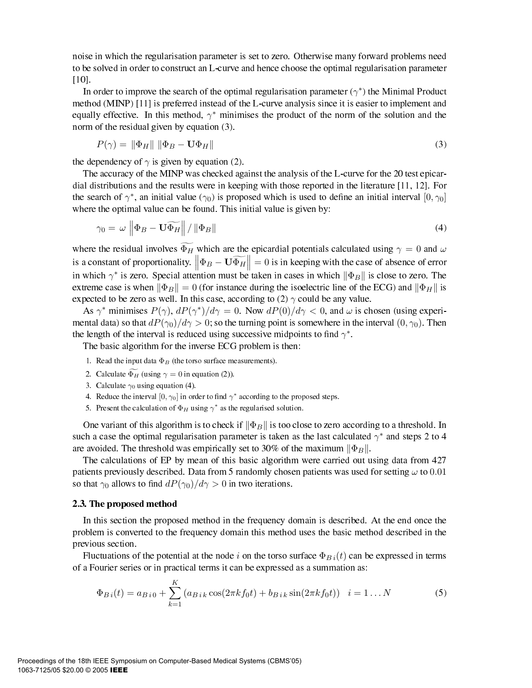noise in which the regularisation parameter is set to zero. Otherwise many forward problems need to be solved in order to construct an L-curve and hence choose the optimal regularisation parameter  $[10]$ .

In order to improve the search of the optimal regularisation parameter  $(\gamma^*)$  the Minimal Product method (MINP) [11] is preferred instead of the L-curve analysis since it is easier to implement and equally effective. In this method,  $\gamma^*$  minimises the product of the norm of the solution and the norm of the residual given by equation (3).

$$
P(\gamma) = \|\Phi_H\| \|\Phi_B - \mathbf{U}\Phi_H\| \tag{3}
$$

the dependency of  $\gamma$  is given by equation (2).

The accuracy of the MINP was checked against the analysis of the L-curve for the 20 test epicardial distributions and the results were in keeping with those reported in the literature  $[11, 12]$ . For the search of  $\gamma^*$ , an initial value ( $\gamma_0$ ) is proposed which is used to define an initial interval  $[0, \gamma_0]$ where the optimal value can be found. This initial value is given by:

$$
\gamma_0 = \omega \left\| \Phi_B - \mathbf{U} \widetilde{\Phi_H} \right\| / \left\| \Phi_B \right\| \tag{4}
$$

where the residual involves  $\widetilde{\Phi_H}$  which are the epicardial potentials calculated using  $\gamma = 0$  and  $\omega$ is a constant of proportionality.  $\left\| \Phi_B - \mathbf{U} \widetilde{\Phi_H} \right\|$  $\parallel \frac{1}{2} = 0$  is in keeping with the case of absence of error in which  $\gamma^*$  is zero. Special attention must be taken in cases in which  $\|\Phi_B\|$  is close to zero. The extreme case is when  $\|\Phi_B\|=0$  (for instance during the isoelectric line of the ECG) and  $\|\Phi_H\|$  is expected to be zero as well. In this case, according to (2)  $\gamma$  could be any value.

As  $\gamma^*$  minimises  $P(\gamma)$ ,  $dP(\gamma^*)/d\gamma = 0$ . Now  $dP(0)/d\gamma < 0$ , and  $\omega$  is chosen (using experimental data) so that  $dP(\gamma_0)/d\gamma > 0$ ; so the turning point is somewhere in the interval  $(0, \gamma_0)$ . Then the length of the interval is reduced using successive midpoints to find  $\gamma^*$ .

The basic algorithm for the inverse ECG problem is then:

- 1. Read the input data  $\Phi_B$  (the torso surface measurements).
- 2. Calculate  $\Phi_H$  (using  $\gamma = 0$  in equation (2)).
- 3. Calculate  $\gamma_0$  using equation (4).
- 4. Reduce the interval  $[0, \gamma_0]$  in order to find  $\gamma^*$  according to the proposed steps.
- 5. Present the calculation of  $\Phi_H$  using  $\gamma^*$  as the regularised solution.

One variant of this algorithm is to check if  $\|\Phi_B\|$  is too close to zero according to a threshold. In such a case the optimal regularisation parameter is taken as the last calculated  $\gamma^*$  and steps 2 to 4 are avoided. The threshold was empirically set to 30% of the maximum  $\|\Phi_B\|$ .

The calculations of EP by mean of this basic algorithm were carried out using data from 427 patients previously described. Data from 5 randomly chosen patients was used for setting  $\omega$  to 0.01 so that  $\gamma_0$  allows to find  $dP(\gamma_0)/d\gamma > 0$  in two iterations.

#### 2.3. The proposed method

In this section the proposed method in the frequency domain is described. At the end once the problem is converted to the frequency domain this method uses the basic method described in the previous section.

Fluctuations of the potential at the node  $i$  on the torso surface  $\Phi_{B\,i}(t)$  can be expressed in terms of a Fourier series or in practical terms it can be expressed as a summation as:

$$
\Phi_{B i}(t) = a_{B i 0} + \sum_{k=1}^{K} \left( a_{B i k} \cos(2\pi k f_0 t) + b_{B i k} \sin(2\pi k f_0 t) \right) \quad i = 1...N
$$
\n(5)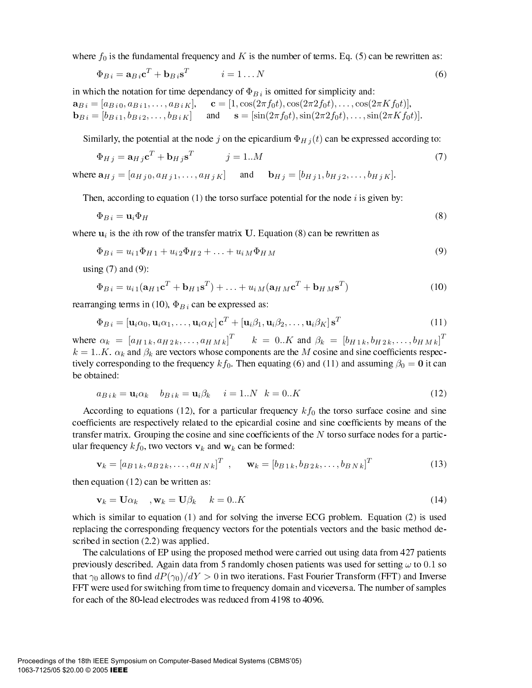where  $f_0$  is the fundamental frequency and K is the number of terms. Eq. (5) can be rewritten as:

$$
\Phi_{Bi} = \mathbf{a}_{Bi} \mathbf{c}^T + \mathbf{b}_{Bi} \mathbf{s}^T \qquad i = 1...N \tag{6}
$$

in which the notation for time dependancy of  $\Phi_{B_i}$  is omitted for simplicity and:  $\mathbf{a}_{B i} = [a_{B i 0}, a_{B i 1}, \dots, a_{B i K}], \quad \mathbf{c} = [1, \cos(2\pi f_0 t), \cos(2\pi 2 f_0 t), \dots, \cos(2\pi K f_0 t)],$  $\mathbf{b}_{B i} = [b_{B i 1}, b_{B i 2}, \dots, b_{B i K}]$  and  $\mathbf{s} = [\sin(2\pi f_0 t), \sin(2\pi 2 f_0 t), \dots, \sin(2\pi K f_0 t)].$ 

Similarly, the potential at the node j on the epicardium  $\Phi_{Hj}(t)$  can be expressed according to:

$$
\Phi_{Hj} = \mathbf{a}_{Hj} \mathbf{c}^T + \mathbf{b}_{Hj} \mathbf{s}^T \qquad j = 1..M \tag{7}
$$

where 
$$
\mathbf{a}_{Hj} = [a_{Hj0}, a_{Hj1}, \dots, a_{HjK}]
$$
 and  $\mathbf{b}_{Hj} = [b_{Hj1}, b_{Hj2}, \dots, b_{HjK}]$ 

Then, according to equation  $(1)$  the torso surface potential for the node i is given by:

$$
\Phi_{B\,i} = \mathbf{u}_i \Phi_H \tag{8}
$$

where  $\mathbf{u}_i$  is the *i*th row of the transfer matrix U. Equation (8) can be rewritten as

$$
\Phi_{Bi} = u_{i1}\Phi_{H1} + u_{i2}\Phi_{H2} + \dots + u_{iM}\Phi_{HM}
$$
\n(9)

using  $(7)$  and  $(9)$ :

$$
\Phi_{Bi} = u_{i1}(\mathbf{a}_{H1}\mathbf{c}^T + \mathbf{b}_{H1}\mathbf{s}^T) + \dots + u_{iM}(\mathbf{a}_{H1}\mathbf{c}^T + \mathbf{b}_{H1}\mathbf{s}^T)
$$
(10)

rearranging terms in (10),  $\Phi_{B}$  can be expressed as:

$$
\Phi_{B i} = \left[\mathbf{u}_i \alpha_0, \mathbf{u}_i \alpha_1, \dots, \mathbf{u}_i \alpha_K\right] \mathbf{c}^T + \left[\mathbf{u}_i \beta_1, \mathbf{u}_i \beta_2, \dots, \mathbf{u}_i \beta_K\right] \mathbf{s}^T
$$
\n(11)

where  $\alpha_k = [a_{H1k}, a_{H2k}, \dots, a_{HMk}]^T$   $k = 0..K$  and  $\beta_k = [b_{H1k}, b_{H2k}, \dots, b_{HMk}]^T$  $k = 1..K$ .  $\alpha_k$  and  $\beta_k$  are vectors whose components are the M cosine and sine coefficients respectively corresponding to the frequency  $kf_0$ . Then equating (6) and (11) and assuming  $\beta_0 = \mathbf{0}$  it can be obtained:

$$
a_{Bik} = \mathbf{u}_i \alpha_k \quad b_{Bik} = \mathbf{u}_i \beta_k \quad i = 1..N \quad k = 0..K \tag{12}
$$

According to equations (12), for a particular frequency  $kf_0$  the torso surface cosine and sine coefficients are respectively related to the epicardial cosine and sine coefficients by means of the transfer matrix. Grouping the cosine and sine coefficients of the  $N$  torso surface nodes for a particular frequency  $kf_0$ , two vectors  $v_k$  and  $w_k$  can be formed:

$$
\mathbf{v}_k = [a_{B1k}, a_{B2k}, \dots, a_{HNk}]^T , \qquad \mathbf{w}_k = [b_{B1k}, b_{B2k}, \dots, b_{BNk}]^T
$$
 (13)

then equation  $(12)$  can be written as:

$$
\mathbf{v}_k = \mathbf{U}\alpha_k \quad , \mathbf{w}_k = \mathbf{U}\beta_k \quad k = 0..K \tag{14}
$$

which is similar to equation  $(1)$  and for solving the inverse ECG problem. Equation  $(2)$  is used replacing the corresponding frequency vectors for the potentials vectors and the basic method described in section  $(2.2)$  was applied.

The calculations of EP using the proposed method were carried out using data from 427 patients previously described. Again data from 5 randomly chosen patients was used for setting  $\omega$  to 0.1 so that  $\gamma_0$  allows to find  $dP(\gamma_0)/dY > 0$  in two iterations. Fast Fourier Transform (FFT) and Inverse FFT were used for switching from time to frequency domain and viceversa. The number of samples for each of the 80-lead electrodes was reduced from 4198 to 4096.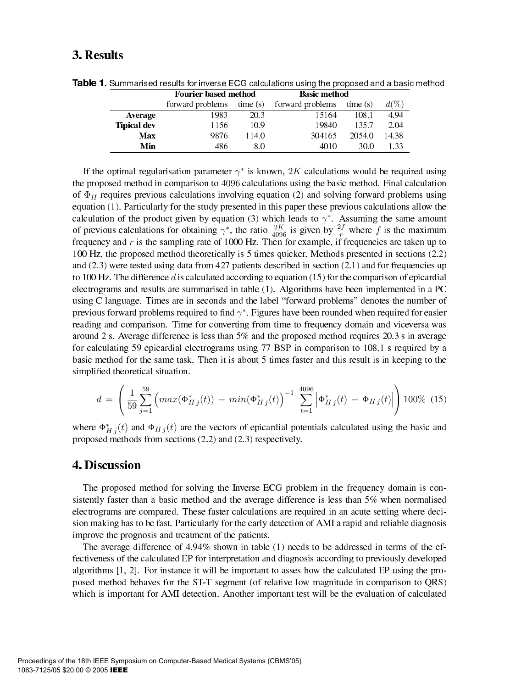# 3. Results

|                    | <b>Fourier based method</b> |         | <b>Basic method</b> |         |         |
|--------------------|-----------------------------|---------|---------------------|---------|---------|
|                    | forward problems            | time(s) | forward problems    | time(s) | $d(\%)$ |
| <b>Average</b>     | 1983                        | 20.3    | 15164               | 108.1   | 4.94    |
| <b>Tipical dev</b> | 1156                        | 10.9    | 19840               | 135.7   | 2.04    |
| Max                | 9876                        | 114.0   | 304165              | 2054.0  | 14.38   |
| Min                | 486                         | 80      | 4010                | 30.0    | -33     |

**Table 1.** Summarised results for inverse ECG calculations using the proposed and a basic method

If the optimal regularisation parameter  $\gamma^*$  is known, 2K calculations would be required using the proposed method in comparison to 4096 calculations using the basic method. Final calculation of  $\Phi_H$  requires previous calculations involving equation (2) and solving forward problems using equation (1). Particularly for the study presented in this paper these previous calculations allow the calculation of the product given by equation (3) which leads to  $\gamma^*$ . Assuming the same amount of previous calculations for obtaining  $\gamma^*$ , the ratio  $\frac{2K}{4096}$  is given by  $\frac{2f}{r}$  where f is the maximum frequency and  $r$  is the sampling rate of 1000 Hz. Then for example, if frequencies are taken up to 100 Hz, the proposed method theoretically is 5 times quicker. Methods presented in sections (2.2) and  $(2.3)$  were tested using data from 427 patients described in section  $(2.1)$  and for frequencies up to 100 Hz. The difference d is calculated according to equation  $(15)$  for the comparison of epicardial electrograms and results are summarised in table (1). Algorithms have been implemented in a PC using C language. Times are in seconds and the label "forward problems" denotes the number of previous forward problems required to find  $\gamma^*$ . Figures have been rounded when required for easier reading and comparison. Time for converting from time to frequency domain and viceversa was around 2 s. Average difference is less than 5% and the proposed method requires 20.3 s in average for calculating 59 epicardial electrograms using 77 BSP in comparison to 108.1 s required by a basic method for the same task. Then it is about 5 times faster and this result is in keeping to the simplified theoretical situation.

$$
d = \left(\frac{1}{59} \sum_{j=1}^{59} \left( max(\Phi_{Hj}^*(t)) - min(\Phi_{Hj}^*(t))\right)^{-1} \sum_{t=1}^{4096} \left| \Phi_{Hj}^*(t) - \Phi_{Hj}(t) \right| \right) 100\% \tag{15}
$$

where  $\Phi_{Hj}^*(t)$  and  $\Phi_{Hj}(t)$  are the vectors of epicardial potentials calculated using the basic and proposed methods from sections (2.2) and (2.3) respectively.

## **4. Discussion**

The proposed method for solving the Inverse ECG problem in the frequency domain is consistently faster than a basic method and the average difference is less than 5% when normalised electrograms are compared. These faster calculations are required in an acute setting where decision making has to be fast. Particularly for the early detection of AMI a rapid and reliable diagnosis improve the prognosis and treatment of the patients.

The average difference of  $4.94\%$  shown in table (1) needs to be addressed in terms of the effectiveness of the calculated EP for interpretation and diagnosis according to previously developed algorithms  $[1, 2]$ . For instance it will be important to asses how the calculated EP using the proposed method behaves for the ST-T segment (of relative low magnitude in comparison to QRS) which is important for AMI detection. Another important test will be the evaluation of calculated